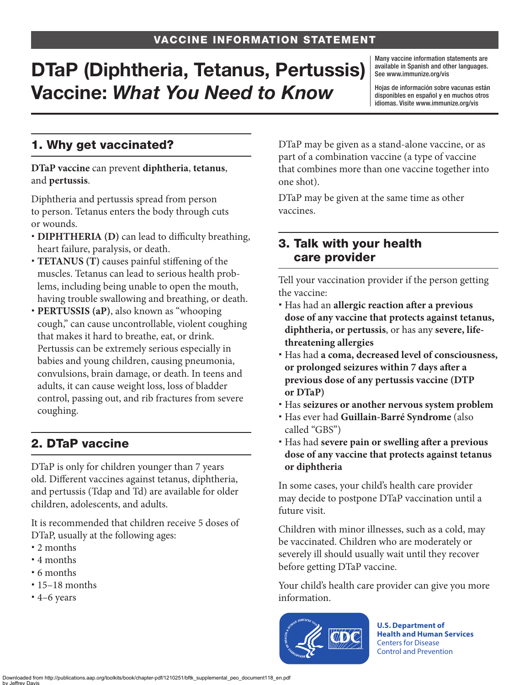# DTaP (Diphtheria, Tetanus, Pertussis) Vaccine: *What You Need to Know*

Many vaccine information statements are available in Spanish and other languages. See [www.immunize.org/vis](http://www.immunize.org/vis)

Hojas de información sobre vacunas están disponibles en español y en muchos otros idiomas. Visite [www.immunize.org/vis](http://www.immunize.org/vis)

## 1. Why get vaccinated?

**DTaP vaccine** can prevent **diphtheria**, **tetanus**, and **pertussis**.

Diphtheria and pertussis spread from person to person. Tetanus enters the body through cuts or wounds.

- **DIPHTHERIA (D)** can lead to difficulty breathing, heart failure, paralysis, or death.
- **TETANUS (T)** causes painful stiffening of the muscles. Tetanus can lead to serious health problems, including being unable to open the mouth, having trouble swallowing and breathing, or death.
- **PERTUSSIS (aP)**, also known as "whooping cough," can cause uncontrollable, violent coughing that makes it hard to breathe, eat, or drink. Pertussis can be extremely serious especially in babies and young children, causing pneumonia, convulsions, brain damage, or death. In teens and adults, it can cause weight loss, loss of bladder control, passing out, and rib fractures from severe coughing.

## 2. DTaP vaccine

DTaP is only for children younger than 7 years old. Different vaccines against tetanus, diphtheria, and pertussis (Tdap and Td) are available for older children, adolescents, and adults.

It is recommended that children receive 5 doses of DTaP, usually at the following ages:

- 2 months
- 4 months
- 6 months
- 15–18 months
- 4–6 years

DTaP may be given as a stand-alone vaccine, or as part of a combination vaccine (a type of vaccine that combines more than one vaccine together into one shot).

DTaP may be given at the same time as other vaccines.

#### 3. Talk with your health care provider

Tell your vaccination provider if the person getting the vaccine:

- Has had an **allergic reaction after a previous dose of any vaccine that protects against tetanus, diphtheria, or pertussis**, or has any **severe, lifethreatening allergies**
- Has had **a coma, decreased level of consciousness, or prolonged seizures within 7 days after a previous dose of any pertussis vaccine (DTP or DTaP)**
- Has **seizures or another nervous system problem**
- Has ever had **Guillain-Barré Syndrome** (also called "GBS")
- Has had **severe pain or swelling after a previous dose of any vaccine that protects against tetanus or diphtheria**

In some cases, your child's health care provider may decide to postpone DTaP vaccination until a future visit.

Children with minor illnesses, such as a cold, may be vaccinated. Children who are moderately or severely ill should usually wait until they recover before getting DTaP vaccine.

Your child's health care provider can give you more information.



**U.S. Department of Health and Human Services**  Centers for Disease Control and Prevention